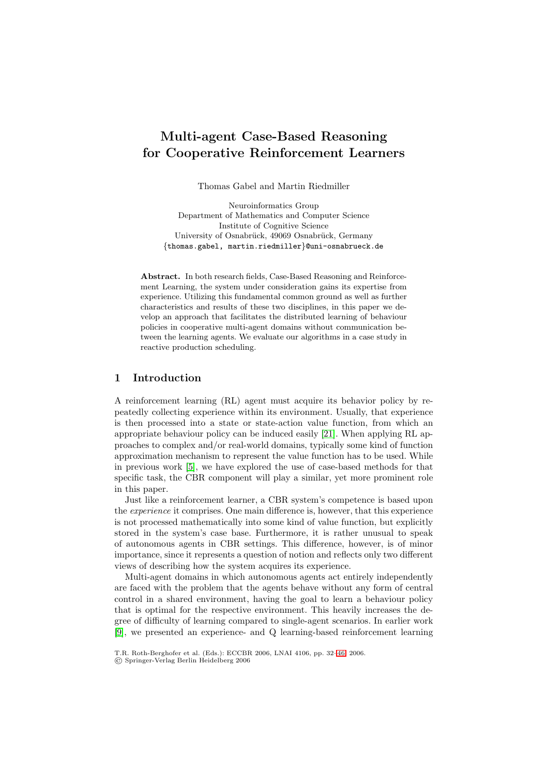# **Multi-agent Case-Based Reasoning for Cooperative Reinforcement Learners**

Thomas Gabel and Martin Riedmiller

Neuroinformatics Group Department of Mathematics and Computer Science Institute of Cognitive Science University of Osnabrück, 49069 Osnabrück, Germany {thomas.gabel, martin.riedmiller}@uni-osnabrueck.de

**Abstract.** In both research fields, Case-Based Reasoning and Reinforcement Learning, the system under consideration gains its expertise from experience. Utilizing this fundamental common ground as well as further characteristics and results of these two disciplines, in this paper we develop an approach that facilitates the distributed learning of behaviour policies in cooperative multi-agent domains without communication between the learning agents. We evaluate our algorithms in a case study in reactive production scheduling.

## **1 Introduction**

A reinforcement learning (RL) agent must acquire its behavior policy by repeatedly collecting experience within its environment. Usually, that experience is then processed into a state or state-action value function, from which an appropriate behaviour policy can be induced easily [21]. When applying RL approaches to complex and/or real-world domains, typically some kind of function approximation mechanism to represent the value function has to be used. While in previous work [5], we have explored the use of case-based methods for that specific task, the CBR component will play a simil[ar,](#page-14-0) yet more prominent role in this paper.

Just like a reinforcement learner, a CBR system's competence is based upon the experience it c[om](#page-13-0)prises. One main difference is, however, that this experience is not processed mathematically into some kind of value function, but explicitly stored in the system's case base. Furthermore, it is rather unusual to speak of autonomous agents in CBR settings. This difference, however, is of minor importance, since it represents a question of notion and reflects only two different views of describing how the system acquires its experience.

Multi-agent domains in which autonomous agents act entirely independently are faced with the problem that the agents behave without any form of central control in a shared environment, having the goal to learn a behaviour policy that is optimal for the respective environment. This heavily increases the degree of difficulty of learning compared to single-agent scenarios. In earlier work [9], we presented an experience- and Q learning-based reinforcement learning

T.R. Roth-Berghofer et al. (Eds.): ECCBR 2006, LNAI 4106, pp. 32–46, 2006.

<sup>©</sup> Springer-Verlag Berlin Heidelberg 2006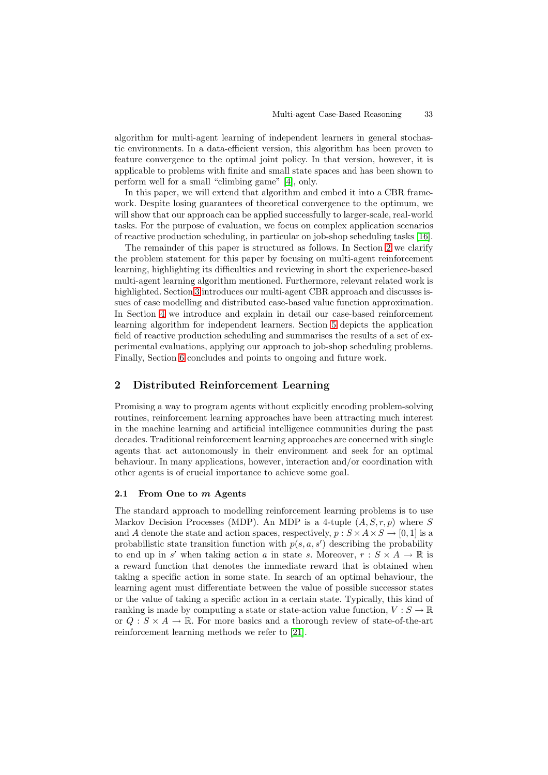algorithm for multi-agent learning of independent learners in general stochastic environments. In a data-efficient version, this algorithm has been proven to feature convergence to the optimal joint policy. In that version, however, it is applicable to problems with finite and small state spaces and has been shown to perform well for a small "climbing game" [4], only.

In this paper, we will extend that algorithm and embed it into a CBR framework. Despite losing guarantees of theoretical convergence to the optimum, we will show that our approach can be applied successfully to larger-scale, real-world tasks. For the purpose of evaluation, we fo[cu](#page-13-1)s on complex application scenarios of reactive production scheduling, in particular on job-shop scheduling tasks [16].

The remainder of this paper is structured as follows. In Section 2 we clarify the problem statement for this paper by focusing on multi-agent reinforcement learning, highlighting its difficulties and reviewing in short the experience-based multi-agent learning algorithm mentioned. Furthermore, relevant related wo[rk i](#page-14-1)s highlighted. Section 3 introduces our multi-agent CBR approach and [d](#page-1-0)iscusses issues of case modelling and distributed case-based value function approximation. In Section 4 we introduce and explain in detail our case-based reinforcement learning algorithm for independent learners. Section 5 depicts the application field of reactive pro[du](#page-4-0)ction scheduling and summarises the results of a set of experimental evaluations, applying our approach to job-shop scheduling problems. Finally, Se[cti](#page-6-0)on 6 concludes and points to ongoing and future work.

# **2 Distributed Reinforcement Learning**

<span id="page-1-0"></span>Promising a wa[y](#page-12-0) [t](#page-12-0)o program agents without explicitly encoding problem-solving routines, reinforcement learning approaches have been attracting much interest in the machine learning and artificial intelligence communities during the past decades. Traditional reinforcement learning approaches are concerned with single agents that act autonomously in their environment and seek for an optimal behaviour. In many applications, however, interaction and/or coordination with other agents is of crucial importance to achieve some goal.

### **2.1 From One to** *m* **Agents**

<span id="page-1-1"></span>The standard approach to modelling reinforcement learning problems is to use Markov Decision Processes (MDP). An MDP is a 4-tuple  $(A, S, r, p)$  where S and A denote the state and action spaces, respectively,  $p : S \times A \times S \rightarrow [0, 1]$  is a probabilistic state transition function with  $p(s, a, s')$  describing the probability to end up in s' when taking action a in state s. Moreover,  $r : S \times A \to \mathbb{R}$  is a reward function that denotes the immediate reward that is obtained when taking a specific action in some state. In search of an optimal behaviour, the learning agent must differentiate between the value of possible successor states or the value of taking a specific action in a certain state. Typically, this kind of ranking is made by computing a state or state-action value function,  $V : S \to \mathbb{R}$ or  $Q : S \times A \to \mathbb{R}$ . For more basics and a thorough review of state-of-the-art reinforcement learning methods we refer to [21].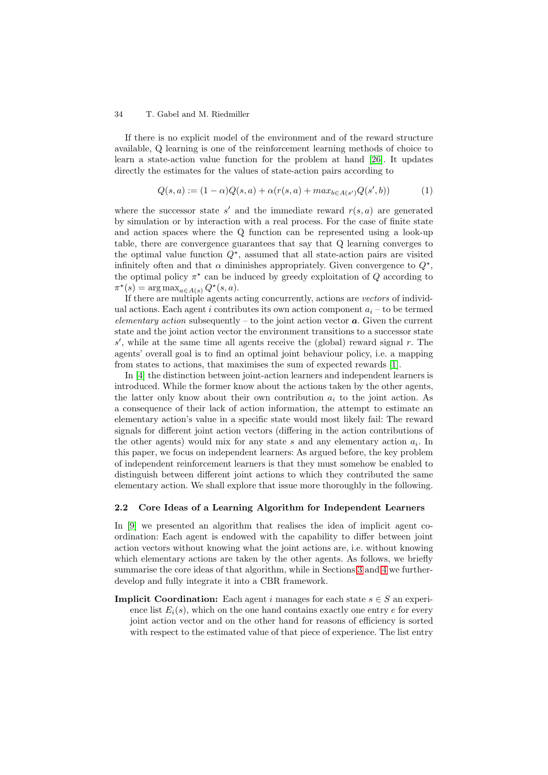If there is no explicit model of the environment and of the reward structure available, Q learning is one of the reinforcement learning methods of choice to learn a state-action value function for the problem at hand [26]. It updates directly the estimates for the values of state-action pairs according to

<span id="page-2-1"></span>
$$
Q(s, a) := (1 - \alpha)Q(s, a) + \alpha(r(s, a) + \max_{b \in A(s')}Q(s', b))
$$
 (1)

where the successor st[a](#page-14-2)te s' and the immediate reward  $r(s, a)$  $r(s, a)$  are generated by simulation or by interaction with a real process. For the case of finite state and action spaces where the Q function can be represented using a look-up table, there are convergence guarantees that say that Q learning converges to the optimal value function  $Q^*$ , assumed that all state-action pairs are visited infinitely often and that  $\alpha$  diminishes appropriately. Given convergence to  $Q^*$ , the optimal policy  $\pi^*$  can be induced by greedy exploitation of Q according to  $\pi^*(s) = \arg \max_{a \in A(s)} Q^*(s, a).$ 

If there are multiple agents acting concurrently, actions are vectors of individual actions. Each agent i contributes its own action component  $a_i$  – to be termed elementary action subsequently – to the joint action vector *a*. Given the current state and the joint action vector the environment transitions to a successor state  $s'$ , while at the same time all agents receive the (global) reward signal r. The agents' overall goal is to find an optimal joint behaviour policy, i.e. a mapping from states to actions, that maximises the sum of expected rewards [1].

In [4] the distinction between joint-action learners and independent learners is introduced. While the former know about the actions taken by the other agents, the latter only know about their own contribution  $a_i$  to the joint action. As a consequence of their lack of action information, the attempt to e[st](#page-13-2)imate an eleme[nt](#page-13-1)ary action's value in a specific state would most likely fail: The reward signals for different joint action vectors (differing in the action contributions of the other agents) would mix for any state s and any elementary action  $a_i$ . In this paper, we focus on independent learners: As argued before, the key problem of independent reinforcement learners is that they must somehow be enabled to distinguish between different joint actions to which they contributed the same elementary action. We shall explore that issue more thoroughly in the following.

### **2.2 Core Ideas of a Learning Algorithm for Independent Learners**

<span id="page-2-0"></span>In [9] we presented an algorithm that realises the idea of implicit agent coordination: Each agent is endowed with the capability to differ between joint action vectors without knowing what the joint actions are, i.e. without knowing which elementary actions are taken by the other agents. As follows, we briefly su[mm](#page-13-3)arise the core ideas of that algorithm, while in Sections 3 and 4 we furtherdevelop and fully integrate it into a CBR framework.

**Implicit Coordination:** Each agent i manages for each state  $s \in S$  an experience list  $E_i(s)$ , which on the o[ne](#page-4-0) hand contains exactly one ent[ry](#page-6-0) e for every joint action vector and on the other hand for reasons of efficiency is sorted with respect to the estimated value of that piece of experience. The list entry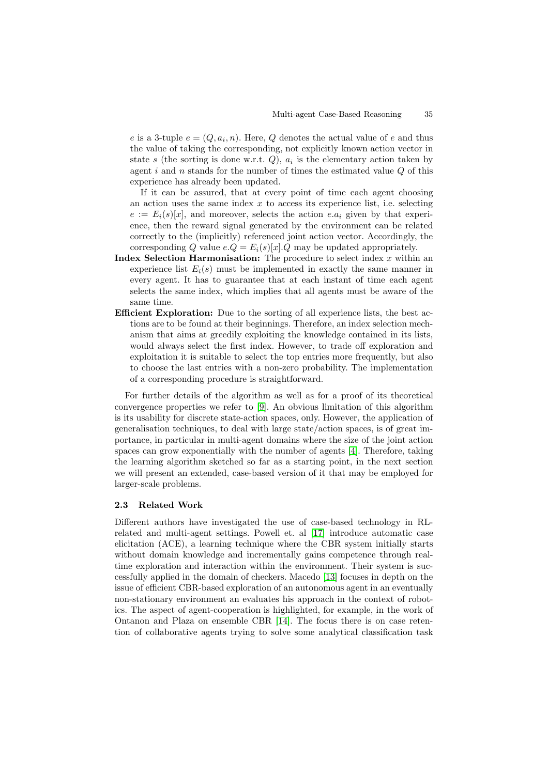e is a 3-tuple  $e = (Q, a_i, n)$ . Here, Q denotes the actual value of e and thus the value of taking the corresponding, not explicitly known action vector in state s (the sorting is done w.r.t.  $Q$ ),  $a_i$  is the elementary action taken by agent  $i$  and  $n$  stands for the number of times the estimated value  $Q$  of this experience has already been updated.

If it can be assured, that at every point of time each agent choosing an action uses the same index  $x$  to access its experience list, i.e. selecting  $e := E_i(s)[x]$ , and moreover, selects the action e.a<sub>i</sub> given by that experience, then the reward signal generated by the environment can be related correctly to the (implicitly) referenced joint action vector. Accordingly, the corresponding Q value  $e.Q = E_i(s)[x].Q$  may be updated appropriately.

- **Index Selection Harmonisation:** The procedure to select index x within an experience list  $E_i(s)$  must be implemented in exactly the same manner in every agent. It has to guarantee that at each instant of time each agent selects the same index, which implies that all agents must be aware of the same time.
- **Efficient Exploration:** Due to the sorting of all experience lists, the best actions are to be found at their beginnings. Therefore, an index selection mechanism that aims at greedily exploiting the knowledge contained in its lists, would always select the first index. However, to trade off exploration and exploitation it is suitable to select the top entries more frequently, but also to choose the last entries with a non-zero probability. The implementation of a corresponding procedure is straightforward.

For further details of the algorithm as well as for a proof of its theoretical convergence properties we refer to [9]. An obvious limitation of this algorithm is its usability for discrete state-action spaces, only. However, the application of generalisation techniques, to deal with large state/action spaces, is of great importance, in particular in multi-agent domains where the size of the joint action spaces can grow exponentially with [th](#page-13-3)e number of agents [4]. Therefore, taking the learning algorithm sketched so far as a starting point, in the next section we will present an extended, case-based version of it that may be employed for larger-scale problems.

### **2.3 Related Work**

Different authors have investigated the use of case-based technology in RLrelated and multi-agent settings. Powell et. al [17] introduce automatic case elicitation (ACE), a learning technique where the CBR system initially starts without domain knowledge and incrementally gains competence through realtime exploration and interaction within the environment. Their system is successfully applied in the domain of checkers. Mace[do \[](#page-14-3)13] focuses in depth on the issue of efficient CBR-based exploration of an autonomous agent in an eventually non-stationary environment an evaluates his approach in the context of robotics. The aspect of agent-cooperation is highlighted, for example, in the work of Ontanon and Plaza on ensemble CBR [14]. The fo[cus](#page-14-4) there is on case retention of collaborative agents trying to solve some analytical classification task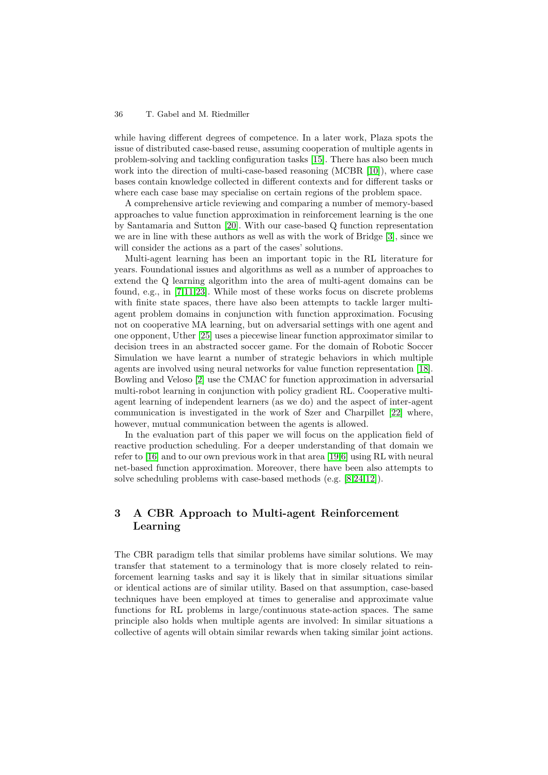while having different degrees of competence. In a later work, Plaza spots the issue of distributed case-based reuse, assuming cooperation of multiple agents in problem-solving and tackling configuration tasks [15]. There has also been much work into the direction of multi-case-based reasoning (MCBR [10]), where case bases contain knowledge collected in different contexts and for different tasks or where each case base may specialise on certain regions of the problem space.

A comprehensive article reviewing and compar[ing](#page-14-5) a number of memory-based approaches to value function approximation in reinforcement le[arn](#page-14-6)ing is the one by Santamaria and Sutton [20]. With our case-based Q function representation we are in line with these authors as well as with the work of Bridge [3], since we will consider the actions as a part of the cases' solutions.

Multi-agent learning has been an important topic in the RL literature for years. Foundational issues [and](#page-14-7) algorithms as well as a number of approaches to extend the Q learning algorithm into the area of multi-agent dom[ai](#page-13-4)ns can be found, e.g., in [7,11,23]. While most of these works focus on discrete problems with finite state spaces, there have also been attempts to tackle larger multiagent problem domains in conjunction with function approximation. Focusing not on cooperative MA learning, but on adversarial settings with one agent and one opponent, [Ut](#page-13-5)[her](#page-14-8) [\[25](#page-14-9)] uses a piecewise linear function approximator similar to decision trees in an abstracted soccer game. For the domain of Robotic Soccer Simulation we have learnt a number of strategic behaviors in which multiple agents are involved using neural networks for value function representation [18]. Bowling and Veloso [[2\] u](#page-14-10)se the CMAC for function approximation in adversarial multi-robot learning in conjunction with policy gradient RL. Cooperative multiagent learning of independent learners (as we do) and the aspect of inter-agent communication is investigated in the work of Szer and Charpillet [22] w[here](#page-14-11), however, mutual co[mm](#page-13-6)unication between the agents is allowed.

In the evaluation part of this paper we will focus on the application field of reactive production scheduling. For a deeper understanding of that domain we refer to [16] and to our own previous work in that area [19,6] using RL [with](#page-14-12) neural net-based function approximation. Moreover, there have been also attempts to solve scheduling problems with case-based methods (e.g. [8,24,12]).

# **3 A CBR Approach to Multi-agent Reinforcement Learning**

<span id="page-4-0"></span>The CBR paradigm tells that similar problems have similar solutions. We may transfer that statement to a terminology that is more closely related to reinforcement learning tasks and say it is likely that in similar situations similar or identical actions are of similar utility. Based on that assumption, case-based techniques have been employed at times to generalise and approximate value functions for RL problems in large/continuous state-action spaces. The same principle also holds when multiple agents are involved: In similar situations a collective of agents will obtain similar rewards when taking similar joint actions.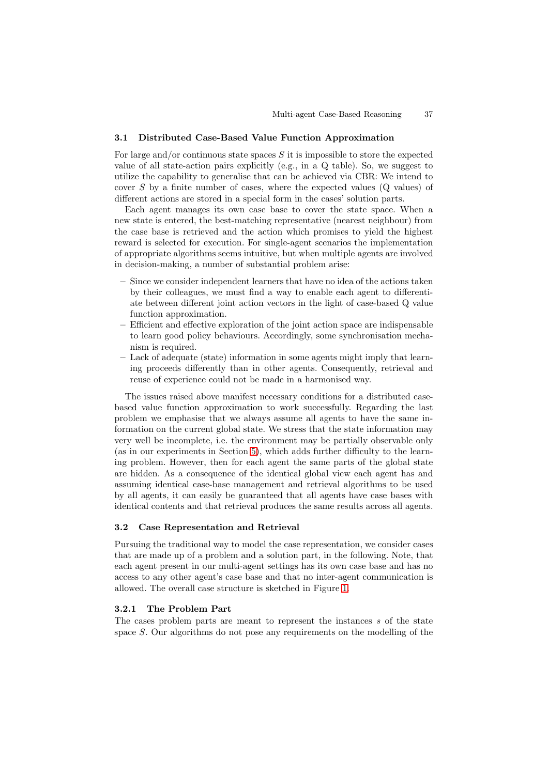### **3.1 Distributed Case-Based Value Function Approximation**

For large and/or continuous state spaces  $S$  it is impossible to store the expected value of all state-action pairs explicitly (e.g., in a  $Q$  table). So, we suggest to utilize the capability to generalise that can be achieved via CBR: We intend to cover  $S$  by a finite number of cases, where the expected values  $(Q)$  values) of different actions are stored in a special form in the cases' solution parts.

Each agent manages its own case base to cover the state space. When a new state is entered, the best-matching representative (nearest neighbour) from the case base is retrieved and the action which promises to yield the highest reward is selected for execution. For single-agent scenarios the implementation of appropriate algorithms seems intuitive, but when multiple agents are involved in decision-making, a number of substantial problem arise:

- **–** Since we consider independent learners that have no idea of the actions taken by their colleagues, we must find a way to enable each agent to differentiate between different joint action vectors in the light of case-based Q value function approximation.
- **–** Efficient and effective exploration of the joint action space are indispensable to learn good policy behaviours. Accordingly, some synchronisation mechanism is required.
- **–** Lack of adequate (state) information in some agents might imply that learning proceeds differently than in other agents. Consequently, retrieval and reuse of experience could not be made in a harmonised way.

The issues raised above manifest necessary conditions for a distributed casebased value function approximation to work successfully. Regarding the last problem we emphasise that we always assume all agents to have the same information on the current global state. We stress that the state information may very well be incomplete, i.e. the environment may be partially observable only (as in our experiments in Section 5), which adds further difficulty to the learning problem. However, then for each agent the same parts of the global state are hidden. As a consequence of the identical global view each agent has and assuming identical case-base management and retrieval algorithms to be used by all agents, it can easily be gu[ara](#page-10-0)nteed that all agents have case bases with identical contents and that retrieval produces the same results across all agents.

### **3.2 Case Representation and Retrieval**

Pursuing the traditional way to model the case representation, we consider cases that are made up of a problem and a solution part, in the following. Note, that each agent present in our multi-agent settings has its own case base and has no access to any other agent's case base and that no inter-agent communication is allowed. The overall case structure is sketched in Figure 1.

### **3.2.1 The Problem Part**

The cases problem parts are meant to represent the instances s of the state space  $S$ . Our algorithms do not pose any requirements [on](#page-6-1) the modelling of the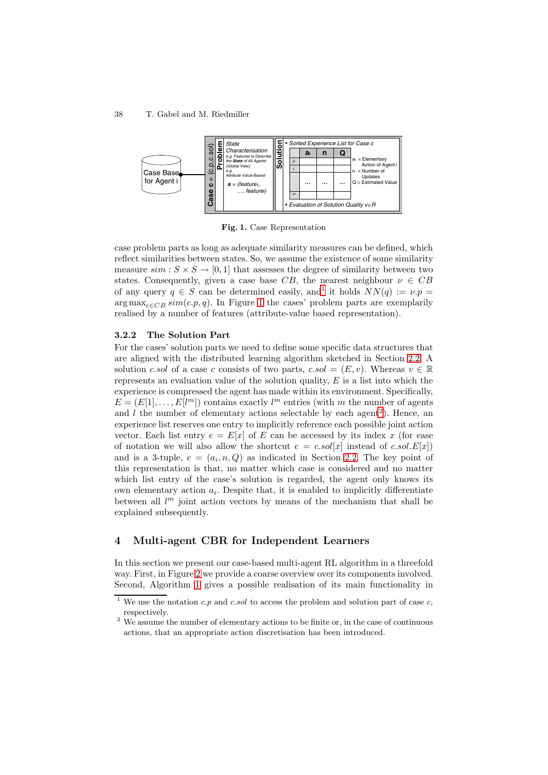

<span id="page-6-1"></span>**Fig. 1.** Case Representation

case problem parts as long as adequate similarity measures can be defined, which reflect similarities between states. So, we assume the existence of some similarity measure  $sim : S \times S \rightarrow [0, 1]$  that assesses the degree of similarity between two states. Consequently, given a case base CB, the nearest neighbour  $\nu \in CB$ of any query  $q \in S$  can be determined easily, and<sup>1</sup> it holds  $NN(q) := \nu \cdot p =$  $\arg \max_{c \in CB} \text{sim}(c.p, q)$ . In Figure 1 the cases' problem parts are exemplarily realised by a number of features (attribute-value based representation).

### **3.2.2 The Solution Part**

For the cases' solution parts we nee[d t](#page-6-1)o define some specific data structures that are aligned with the distributed learning algorithm sketched in Section 2.2. A solution c.sol of a case c consists of two parts, c.sol =  $(E, v)$ . Whereas  $v \in \mathbb{R}$ represents an evaluation value of the solution quality,  $E$  is a list into which the experience is compressed the agent has made within its environment. Specifically,  $E = (E[1], \ldots, E[l^m])$  contains exactly  $l^m$  entries (with m the number of [age](#page-2-0)nts and l the number of elementary actions selectable by each agent<sup>2</sup>). Hence, an experience list reserves one entry to implicitly reference each possible joint action vector. Each list entry  $e = E[x]$  of E can be accessed by its index x (for ease of notation we will also allow the shortcut  $e = c \cdot sol[x]$  instead of  $c \cdot sol.E[x]$ and is a 3-tupl[e](#page-6-2),  $e = (a_i, n, Q)$  as indicated in Section 2.2. The key point of this representation is that, no matter which case is considered and no matter which list entry of the case's solution is regarded, the agent only knows its own elementary action  $a_i$ . Despite that, it is enabled to implicitly differentiate between all  $l^m$  joint action vectors by means of the m[echa](#page-2-0)nism that shall be explained subsequently.

### **4 Multi-agent CBR for Independent Learners**

<span id="page-6-0"></span>In this section we present our case-based multi-agent RL algorithm in a threefold way. First, in Figure 2 we provide a coarse overview over its components involved. Second, Algorithm 1 gives a possible realisation of its main functionality in

<sup>&</sup>lt;sup>1</sup> We use the notation c.p and c.sol to access the problem and solution part of case c, respectively.

<span id="page-6-2"></span><sup>&</sup>lt;sup>2</sup> We assume the nu[mbe](#page-8-0)r of elementary actions to be finite or, in the case of continuous actions, that an ap[pr](#page-9-0)opriate action discretisation has been introduced.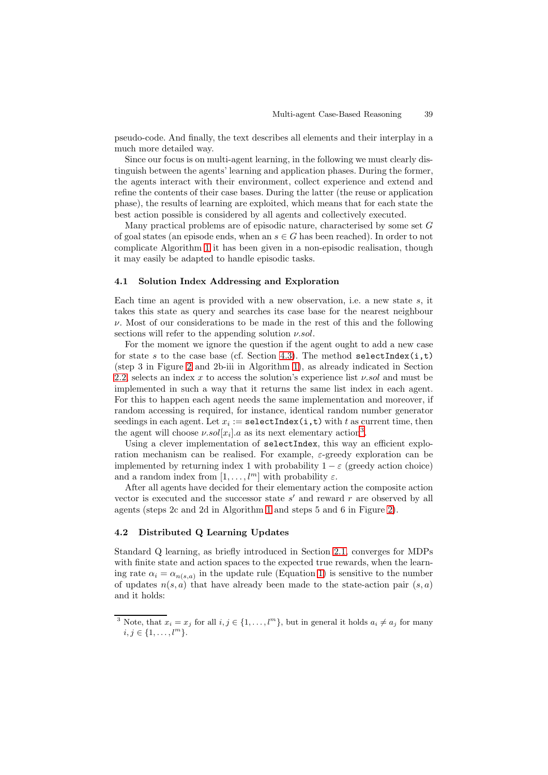pseudo-code. And finally, the text describes all elements and their interplay in a much more detailed way.

Since our focus is on multi-agent learning, in the following we must clearly distinguish between the agents' learning and application phases. During the former, the agents interact with their environment, collect experience and extend and refine the contents of their case bases. During the latter (the reuse or application phase), the results of learning are exploited, which means that for each state the best action possible is considered by all agents and collectively executed.

Many practical problems are of episodic nature, characterised by some set G of goal states (an episode ends, when an  $s \in G$  has been reached). In order to not complicate Algorithm 1 it has been given in a non-episodic realisation, though it may easily be adapted to handle episodic tasks.

#### **4.1 Solution Index Addressing and Exploration**

Each time an agent i[s](#page-9-0) [p](#page-9-0)rovided with a new observation, i.e. a new state s, it takes this state as query and searches its case base for the nearest neighbour  $\nu$ . Most of our considerations to be made in the rest of this and the following sections will refer to the appending solution  $\nu$ .sol.

For the moment we ignore the question if the agent ought to add a new case for state s to the case base (cf. Section 4.3). The method selectIndex $(i, t)$ (step 3 in Figure 2 and 2b-iii in Algorithm 1), as already indicated in Section 2.2, selects an index x to access the solution's experience list  $\nu$  sol and must be implemented in such a way that it returns the same list index in each agent. For this to happen each agent needs the [sam](#page-8-1)e implementation and moreover, if random accessing [is](#page-8-0) required, for instance, [ide](#page-9-0)ntical random number generator [seed](#page-2-0)ings in each agent. Let  $x_i := \mathtt{selectIndex}(\mathtt{i}, \mathtt{t})$  with t as current time, then the agent will choose  $\nu$  sol[x<sub>i</sub>].a as its next elementary action<sup>3</sup>.

Using a clever implementation of selectIndex, this way an efficient exploration mechanism can be realised. For example,  $\varepsilon$ -greedy exploration can be implemented by returning index 1 with probability  $1 - \varepsilon$  (greedy action choice) and a random index from  $[1,\ldots,l^m]$  with probability  $\varepsilon$ .

After all agents have decided for their elementary action the composite action vector is executed and the successor state  $s'$  and reward r are observed by all agents (steps 2c and 2d in Algorithm 1 and steps 5 and 6 in Figure 2).

### **4.2 Distributed Q Learning Updates**

<span id="page-7-0"></span>Standard Q learning, as briefly intro[du](#page-9-0)ced in Section 2.1, converge[s f](#page-8-0)or MDPs with finite state and action spaces to the expected true rewards, when the learning rate  $\alpha_i = \alpha_{n(s,a)}$  in the update rule (Equation 1) is sensitive to the number of updates  $n(s, a)$  that have already been made to the state-action pair  $(s, a)$ and it holds:

<sup>&</sup>lt;sup>3</sup> Note, that  $x_i = x_j$  for all  $i, j \in \{1, ..., l^m\}$ , but in g[ene](#page-2-1)ral it holds  $a_i \neq a_j$  for many  $i, j \in \{1, \ldots, l^m\}.$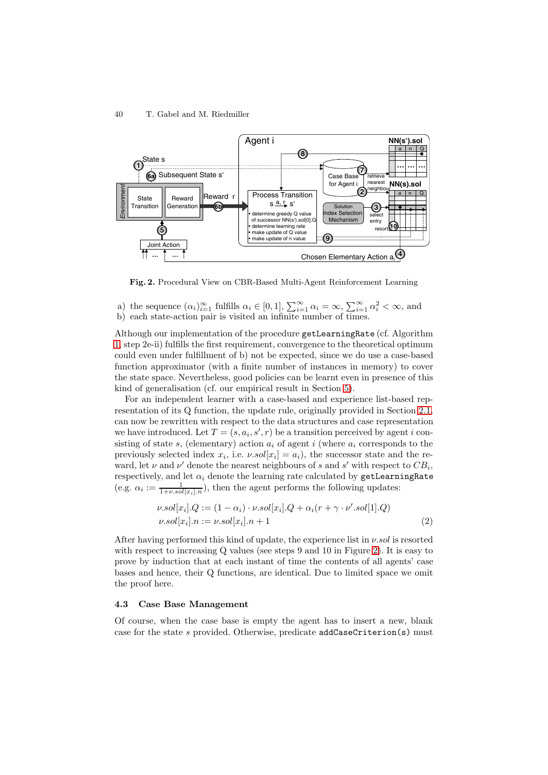

**Fig. 2.** Procedural View on CBR-Based Multi-Agent Reinforcement Learning

a) the sequence  $(\alpha_i)_{i=1}^{\infty}$  fulfills  $\alpha_i \in [0,1]$ ,  $\sum_{i=1}^{\infty} \alpha_i = \infty$ ,  $\sum_{i=1}^{\infty} \alpha_i^2 < \infty$ , and b) each state-action pair is visited an infinite number of times.

<span id="page-8-0"></span>Although our implementation of the procedure getLearningRate (cf. Algorithm 1, step 2e-ii) fulfills the first requirement, convergence to the theoretical optimum could even under fulfillment of b) not be expected, since we do use a case-based function approximator (with a finite number of instances in memory) to cover the state space. Nevertheless, good policies can be learnt even in presence of this [ki](#page-9-0)nd of generalisation (cf. our empirical result in Section 5).

For an independent learner with a case-based and experience list-based representation of its Q function, the update rule, originally provided in Section 2.1, can now be rewritten with respect to the data structures and case representation we have introduced. Let  $T = (s, a_i, s', r)$  be a transition p[erc](#page-10-0)eived by agent i consisting of state s, (elementary) action  $a_i$  of agent i (where  $a_i$  corresponds to the previously selected index  $x_i$ , i.e.  $\nu$ sol $[x_i] = a_i$ , the successor state and th[e re](#page-1-1)ward, let  $\nu$  and  $\nu'$  denote the nearest neighbours of s and s' with respect to  $CB_i$ , respectively, and let  $\alpha_i$  denote the learning rate calculated by getLearningRate (e.g.  $\alpha_i := \frac{1}{1+\nu \cdot sol[x_i],n}$ ), then the agent performs the following updates:

$$
\nu \cdot sol[x_i].Q := (1 - \alpha_i) \cdot \nu \cdot sol[x_i].Q + \alpha_i (r + \gamma \cdot \nu' \cdot sol[1].Q)
$$
  

$$
\nu \cdot sol[x_i].n := \nu \cdot sol[x_i].n + 1
$$
 (2)

<span id="page-8-2"></span>After having performed this kind of update, the experience list in  $\nu$  sol is resorted with respect to increasing Q values (see steps 9 and 10 in Figure 2). It is easy to prove by induction that at each instant of time the contents of all agents' case bases and hence, their Q functions, are identical. Due to limited space we omit the proof here.

#### **4.3 Case Base Management**

<span id="page-8-1"></span>Of course, when the case base is empty the agent has to insert a new, blank case for the state s provided. Otherwise, predicate addCaseCriterion(s) must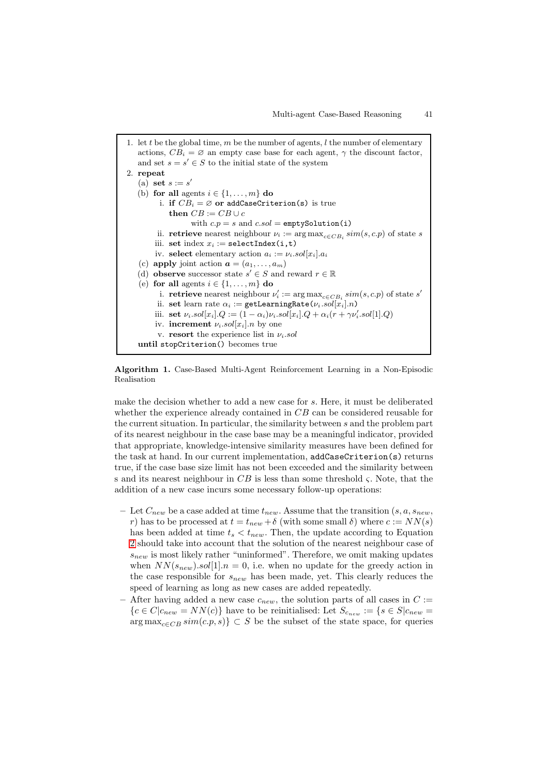

<span id="page-9-0"></span>**Algorithm 1.** Case-Based Multi-Agent Reinforcement Learning in a Non-Episodic Realisation

make the decision whether to add a new case for s. Here, it must be deliberated whether the experience already contained in CB can be considered reusable for the current situation. In particular, the similarity between s and the problem part of its nearest neighbour in the case base may be a meaningful indicator, provided that appropriate, knowledge-intensive similarity measures have been defined for the task at hand. In our current implementation, addCaseCriterion(s) returns true, if the case base size limit has not been exceeded and the similarity between s and its nearest neighbour in  $CB$  is less than some threshold  $\varsigma$ . Note, that the addition of a new case incurs some necessary follow-up operations:

- $-$  Let  $C_{new}$  be a case added at time  $t_{new}$ . Assume that the transition  $(s, a, s_{new}, s_{new})$ r) has to be processed at  $t = t_{new} + \delta$  (with some small  $\delta$ ) where  $c := NN(s)$ has been added at time  $t_s < t_{new}$ . Then, the update according to Equation 2 should take into account that the solution of the nearest neighbour case of  $s_{new}$  is most likely rather "uninformed". Therefore, we omit making updates when  $NN(s_{new})$ .sol[1].n = 0, i.e. when no update for the greedy action in the case responsible for  $s_{new}$  has been made, yet. This clearly reduces the [sp](#page-8-2)eed of learning as long as new cases are added repeatedly.
- After having added a new case  $c_{new}$ , the solution parts of all cases in  $C :=$  ${c \in C | c_{new} = NN(c)}$  have to be reinitialised: Let  $S_{c_{new}} := {s \in S | c_{new}}$  $\arg \max_{c \in CB} \text{sim}(c.p, s)$   $\subset S$  be the subset of the state space, for queries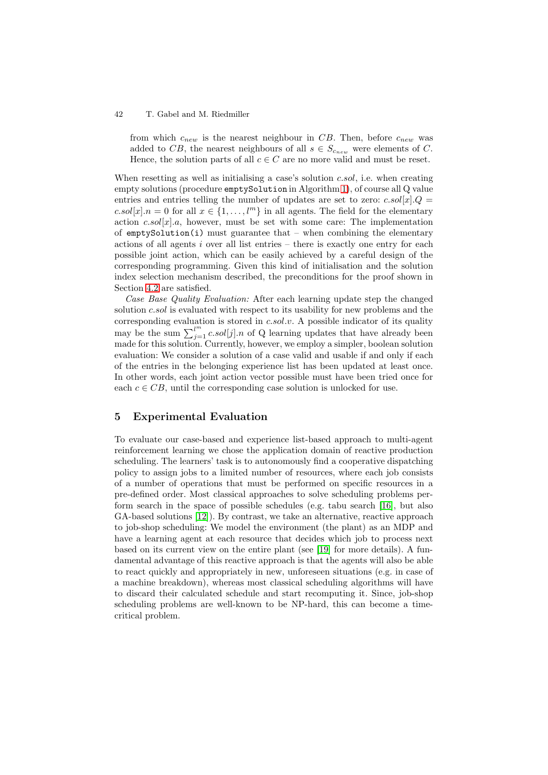from which  $c_{new}$  is the nearest neighbour in CB. Then, before  $c_{new}$  was added to CB, the nearest neighbours of all  $s \in S_{c_{new}}$  were elements of C. Hence, the solution parts of all  $c \in C$  are no more valid and must be reset.

When resetting as well as initialising a case's solution  $c$ .sol, i.e. when creating empty solutions (procedure emptySolution in Algorithm 1), of course all Q value entries and entries telling the number of updates are set to zero:  $c.sol[x].Q =$ c.sol[x].n = 0 for all  $x \in \{1, ..., l^m\}$  in all agents. The field for the elementary action  $c.\text{sol}[x].a$ , however, must be set with some care: The implementation of  $\epsilon$  emptySolution(i) must guarantee that – when co[mb](#page-9-0)ining the elementary actions of all agents  $i$  over all list entries – there is exactly one entry for each possible joint action, which can be easily achieved by a careful design of the corresponding programming. Given this kind of initialisation and the solution index selection mechanism described, the preconditions for the proof shown in Section 4.2 are satisfied.

Case Base Quality Evaluation: After each learning update step the changed solution c.sol is evaluated with respect to its usability for new problems and the corresponding evaluation is stored in  $c.sol.v.$  A possible indicator of its quality may be [the](#page-7-0) sum  $\sum_{j=1}^{l^m} c\cdot sol[j] \cdot n$  of Q learning updates that have already been made for this solution. Currently, however, we employ a simpler, boolean solution evaluation: We consider a solution of a case valid and usable if and only if each of the entries in the belonging experience list has been updated at least once. In other words, each joint action vector possible must have been tried once for each  $c \in CB$ , until the corresponding case solution is unlocked for use.

### **5 Experimental Evaluation**

<span id="page-10-0"></span>To evaluate our case-based and experience list-based approach to multi-agent reinforcement learning we chose the application domain of reactive production scheduling. The learners' task is to autonomously find a cooperative dispatching policy to assign jobs to a limited number of resources, where each job consists of a number of operations that must be performed on specific resources in a pre-defined order. Most classical approaches to solve scheduling problems perform search in the space of possible schedules (e.g. tabu search [16], but also GA-based solutions [12]). By contrast, we take an alternative, reactive approach to job-shop scheduling: We model the environment (the plant) as an MDP and have a learning agent at each resource that decides which job to process next based on its current view on the entire plant (see [19] for more d[etail](#page-14-1)s). A fundamental advantage [of t](#page-14-13)his reactive approach is that the agents will also be able to react quickly and appropriately in new, unforeseen situations (e.g. in case of a machine breakdown), whereas most classical scheduling algorithms will have to discard their calculated schedule and start rec[omp](#page-14-14)uting it. Since, job-shop scheduling problems are well-known to be NP-hard, this can become a timecritical problem.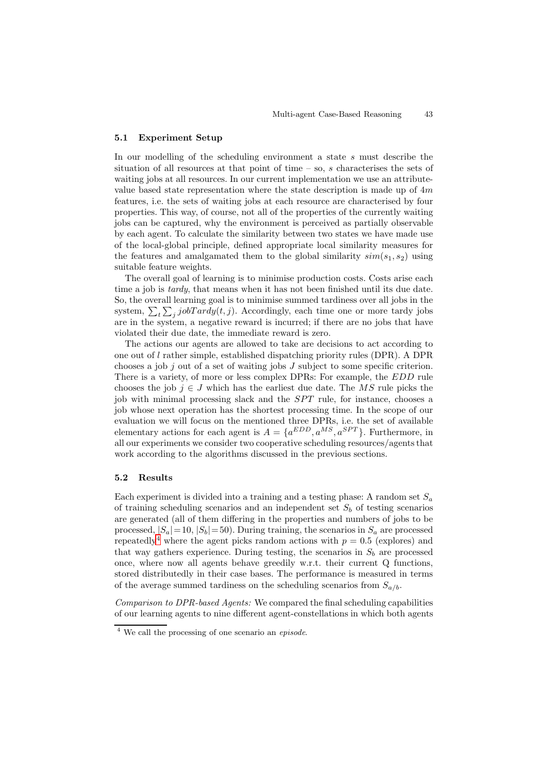#### **5.1 Experiment Setup**

In our modelling of the scheduling environment a state s must describe the situation of all resources at that point of time  $-$  so,  $s$  characterises the sets of waiting jobs at all resources. In our current implementation we use an attributevalue based state representation where the state description is made up of  $4m$ features, i.e. the sets of waiting jobs at each resource are characterised by four properties. This way, of course, not all of the properties of the currently waiting jobs can be captured, why the environment is perceived as partially observable by each agent. To calculate the similarity between two states we have made use of the local-global principle, defined appropriate local similarity measures for the features and amalgamated them to the global similarity  $sim(s_1, s_2)$  using suitable feature weights.

The overall goal of learning is to minimise production costs. Costs arise each time a job is *tardy*, that means when it has not been finished until its due date. So, the overall learning goal is to minimise summed tardiness over all jobs in the system,  $\sum_{t} \sum_{j} j \omega T a r dy(t, j)$ . Accordingly, each time one or more tardy jobs are in the system, a negative reward is incurred; if there are no jobs that have violated their due date, the immediate reward is zero.

The actions our agents are allowed to take are decisions to act according to one out of l rather simple, established dispatching priority rules (DPR). A DPR chooses a job j out of a set of waiting jobs  $J$  subject to some specific criterion. There is a variety, of more or less complex DPRs: For example, the EDD rule chooses the job  $j \in J$  which has the earliest due date. The MS rule picks the job with minimal processing slack and the SPT rule, for instance, chooses a job whose next operation has the shortest processing time. In the scope of our evaluation we will focus on the mentioned three DPRs, i.e. the set of available elementary actions for each agent is  $A = \{a^{EDD}, a^{MS}, a^{SPT}\}\$ . Furthermore, in all our experiments we consider two cooperative scheduling resources/agents that work according to the algorithms discussed in the previous sections.

### **5.2 Results**

Each experiment is divided into a training and a testing phase: A random set  $S_a$ of training scheduling scenarios and an independent set  $S<sub>b</sub>$  of testing scenarios are generated (all of them differing in the properties and numbers of jobs to be processed,  $|S_a|=10$ ,  $|S_b|=50$ . During training, the scenarios in  $S_a$  are processed repeatedly<sup>4</sup> where the agent picks random actions with  $p = 0.5$  (explores) and that way gathers experience. During testing, the scenarios in  $S_b$  are processed once, where now all agents behave greedily w.r.t. their current Q functions, stored distributedly in their case bases. The performance is measured in terms of the ave[ra](#page-11-0)ge summed tardiness on the scheduling scenarios from  $S_{a/b}$ .

Comparison to DPR-based Agents: We compared the final scheduling capabilities of our learning agents to nine different agent-constellations in which both agents

<span id="page-11-0"></span><sup>4</sup> We call the processing of one scenario an episode.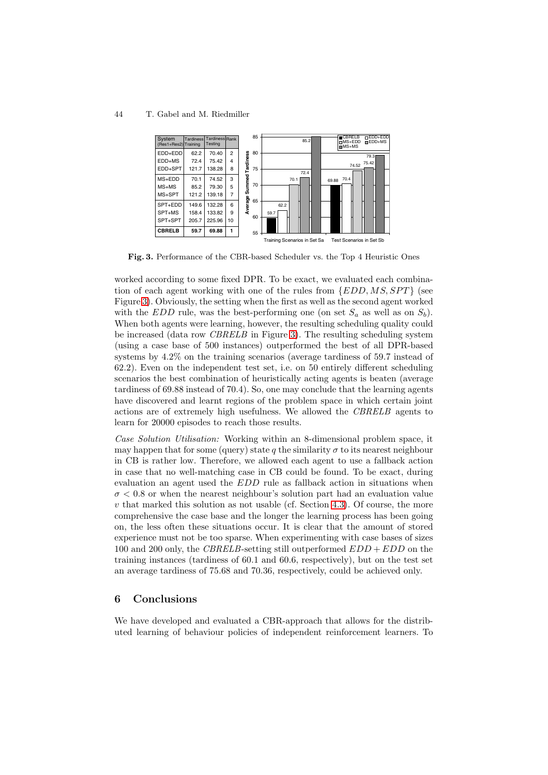

**Fig. 3.** Performance of the CBR-based Scheduler vs. the Top 4 Heuristic Ones

<span id="page-12-1"></span>worked according to some fixed DPR. To be exact, we evaluated each combination of each agent working with one of the rules from  $\{EDD, MS, SPT\}$  (see Figure 3). Obviously, the setting when the first as well as the second agent worked with the EDD rule, was the best-performing one (on set  $S_a$  as well as on  $S_b$ ). When both agents were learning, however, the resulting scheduling quality could be increased (data row *CBRELB* in Figure 3). The resulting scheduling system (using [a](#page-12-1) case base of 500 instances) outperformed the best of all DPR-based systems by 4.2% on the training scenarios (average tardiness of 59.7 instead of 62.2). Even on the independent test set, i.e. on 50 entirely different scheduling scenarios the best combination of heuristic[ally](#page-12-1) acting agents is beaten (average tardiness of 69.88 instead of 70.4). So, one may conclude that the learning agents have discovered and learnt regions of the problem space in which certain joint actions are of extremely high usefulness. We allowed the CBRELB agents to learn for 20000 episodes to reach those results.

Case Solution Utilisation: Working within an 8-dimensional problem space, it may happen that for some (query) state q the similarity  $\sigma$  to its nearest neighbour in CB is rather low. Therefore, we allowed each agent to use a fallback action in case that no well-matching case in CB could be found. To be exact, during evaluation an agent used the EDD rule as fallback action in situations when  $\sigma$  < 0.8 or when the nearest neighbour's solution part had an evaluation value  $v$  that marked this solution as not usable (cf. Section 4.3). Of course, the more comprehensive the case base and the longer the learning process has been going on, the less often these situations occur. It is clear that the amount of stored experience must not be too sparse. When experimenting with case bases of sizes 100 and 200 only, the *CBRELB*-setting still outperfor[med](#page-8-1)  $EDD + EDD$  on the training instances (tardiness of 60.1 and 60.6, respectively), but on the test set an average tardiness of 75.68 and 70.36, respectively, could be achieved only.

### **6 Conclusions**

<span id="page-12-0"></span>We have developed and evaluated a CBR-approach that allows for the distributed learning of behaviour policies of independent reinforcement learners. To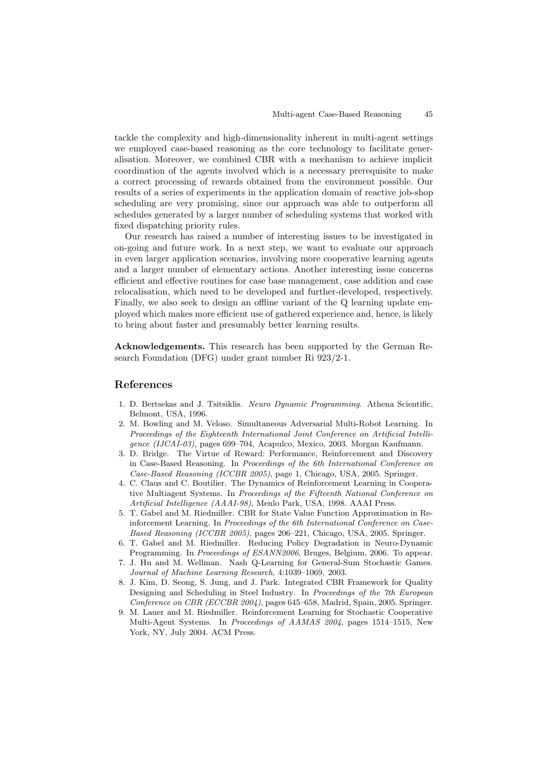tackle the complexity and high-dimensionality inherent in multi-agent settings we employed case-based reasoning as the core technology to facilitate generalisation. Moreover, we combined CBR with a mechanism to achieve implicit coordination of the agents involved which is a necessary prerequisite to make a correct processing of rewards obtained from the environment possible. Our results of a series of experiments in the application domain of reactive job-shop scheduling are very promising, since our approach was able to outperform all schedules generated by a larger number of scheduling systems that worked with fixed dispatching priority rules.

Our research has raised a number of interesting issues to be investigated in on-going and future work. In a next step, we want to evaluate our approach in even larger application scenarios, involving more cooperative learning agents and a larger number of elementary actions. Another interesting issue concerns efficient and effective routines for case base management, case addition and case relocalisation, which need to be developed and further-developed, respectively. Finally, we also seek to design an offline variant of the Q learning update employed which makes more efficient use of gathered experience and, hence, is likely to bring about faster and presumably better learning results.

**Acknowledgements.** This research has been supported by the German Research Foundation (DFG) under grant number Ri 923/2-1.

### <span id="page-13-2"></span>**References**

- 1. D. Bertsekas and J. Tsitsiklis. Neuro Dynamic Programming. Athena Scientific, Belmont, USA, 1996.
- <span id="page-13-6"></span>2. M. Bowling and M. Veloso. Simultaneous Adversarial Multi-Robot Learning. In Proceedings of the Eighteenth International Joint Conference on Artificial Intelligence (IJCAI-03), pages 699–704, Acapulco, Mexico, 2003. Morgan Kaufmann.
- <span id="page-13-4"></span>3. D. Bridge. The Virtue of Reward: Performance, Reinforcement and Discovery in Case-Based Reasoning. In Proceedings of the 6th International Conference on Case-Based Reasoning (ICCBR 2005), page 1, Chicago, USA, 2005. Springer.
- <span id="page-13-1"></span>4. C. Claus and C. Boutilier. The Dynamics of Reinforcement Learning in Cooperative Multiagent Systems. In Proceedings of the Fifteenth National Conference on Artificial Intelligence (AAAI-98), Menlo Park, USA, 1998. AAAI Press.
- <span id="page-13-0"></span>5. T. Gabel and M. Riedmiller. CBR for State Value Function Approximation in Reinforcement Learning. In Proceedings of the 6th International Conference on Case-Based Reasoning (ICCBR 2005), pages 206–221, Chicago, USA, 2005. Springer.
- 6. T. Gabel and M. Riedmiller. Reducing Policy Degradation in Neuro-Dynamic Programming. In Proceedings of ESANN2006, Bruges, Belgium, 2006. To appear.
- <span id="page-13-5"></span>7. J. Hu and M. Wellman. Nash Q-Learning for General-Sum Stochastic Games. Journal of Machine Learning Research, 4:1039–1069, 2003.
- 8. J. Kim, D. Seong, S. Jung, and J. Park. Integrated CBR Framework for Quality Designing and Scheduling in Steel Industry. In Proceedings of the 7th European Conference on CBR (ECCBR 2004), pages 645–658, Madrid, Spain, 2005. Springer.
- <span id="page-13-3"></span>9. M. Lauer and M. Riedmiller. Reinforcement Learning for Stochastic Cooperative Multi-Agent Systems. In Proceedings of AAMAS 2004, pages 1514–1515, New York, NY, July 2004. ACM Press.